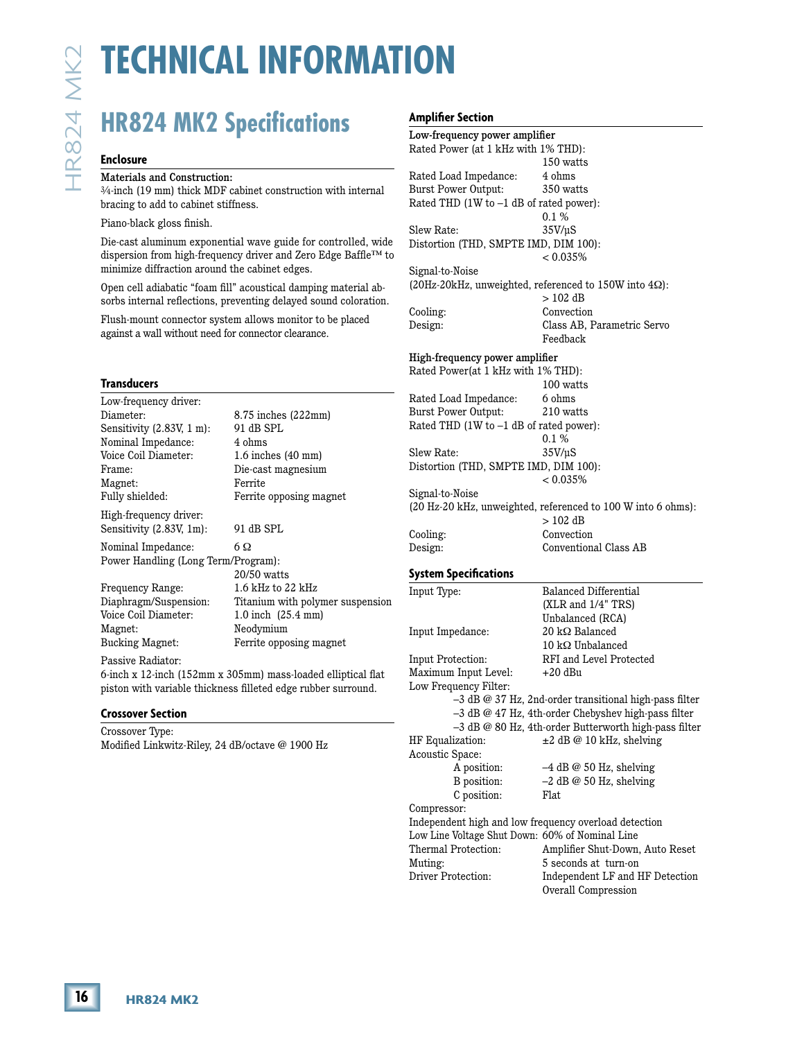# **HR824 MK2 Specifications**

#### **Enclosure**

#### Materials and Construction:

#### **Transducers**

|                                                                     | <b>HR824 MK2 Specifications</b>                                                                                                     | Amplifier<br>Low-frequ<br>Rated Pov        |
|---------------------------------------------------------------------|-------------------------------------------------------------------------------------------------------------------------------------|--------------------------------------------|
| <b>Enclosure</b>                                                    |                                                                                                                                     |                                            |
| Materials and Construction:<br>bracing to add to cabinet stiffness. | 3/4-inch (19 mm) thick MDF cabinet construction with internal                                                                       | Rated Loa<br><b>Burst Pow</b><br>Rated THI |
| Piano-black gloss finish.                                           |                                                                                                                                     | Slew Rate                                  |
|                                                                     | Die-cast aluminum exponential wave guide for controlled, wide<br>dispersion from high-frequency driver and Zero Edge Baffle™ to     | Distortion                                 |
| minimize diffraction around the cabinet edges.                      | Open cell adiabatic "foam fill" acoustical damping material ab-<br>sorbs internal reflections, preventing delayed sound coloration. | Signal-to-l<br>$(20Hz-20k$                 |
| against a wall without need for connector clearance.                | Flush-mount connector system allows monitor to be placed                                                                            | Cooling:<br>Design:                        |
|                                                                     |                                                                                                                                     | High-freq<br>Rated Pov                     |
| <b>Transducers</b><br>Low-frequency driver:                         |                                                                                                                                     | Rated Loa                                  |
| Diameter:<br>Sensitivity (2.83V, 1 m):<br>Nominal Impedance:        | 8.75 inches (222mm)<br>91 dB SPL<br>4 ohms                                                                                          | <b>Burst Pow</b><br>Rated THI              |
| Voice Coil Diameter:<br>Frame:<br>Magnet:                           | 1.6 inches (40 mm)<br>Die-cast magnesium<br>Ferrite                                                                                 | Slew Rate<br>Distortion                    |
| Fully shielded:<br>High-frequency driver:                           | Ferrite opposing magnet                                                                                                             | Signal-to-l<br>$(20 Hz-20)$                |
| Sensitivity (2.83V, 1m):                                            | 91 dB SPL                                                                                                                           | Cooling:                                   |
| Nominal Impedance:<br>Power Handling (Long Term/Program):           | 6Ω<br>20/50 watts                                                                                                                   | Design:<br>System Sp                       |
| Frequency Range:<br>Diaphragm/Suspension:<br>Voice Coil Diameter:   | 1.6 kHz to 22 kHz<br>Titanium with polymer suspension<br>1.0 inch (25.4 mm)                                                         | Input Type                                 |
| Magnet:<br><b>Bucking Magnet:</b>                                   | Neodymium<br>Ferrite opposing magnet                                                                                                | Input Impo                                 |
| Passive Radiator:                                                   | 6-inch x 12-inch (152mm x 305mm) mass-loaded elliptical flat<br>piston with variable thickness filleted edge rubber surround.       | <b>Input Prot</b><br>Maximum<br>Low Frequ  |
| <b>Crossover Section</b>                                            |                                                                                                                                     |                                            |
| Crossover Type:<br>Modified Linkwitz-Riley, 24 dB/octave @ 1900 Hz  |                                                                                                                                     | HF Equali<br>Acoustic S                    |
|                                                                     |                                                                                                                                     | Compresso                                  |
|                                                                     |                                                                                                                                     | Independe<br>Low Line \<br>Thermal P       |

#### Passive Radiator:

#### **Crossover Section**

### mplifier Section

| Ampunci secusi                                        |                                                              |
|-------------------------------------------------------|--------------------------------------------------------------|
| Low-frequency power amplifier                         |                                                              |
| Rated Power (at 1 kHz with 1% THD):                   |                                                              |
|                                                       | 150 watts                                                    |
| Rated Load Impedance:                                 | 4 ohms                                                       |
| <b>Burst Power Output:</b>                            | 350 watts                                                    |
| Rated THD (1W to -1 dB of rated power):               |                                                              |
|                                                       | $0.1\,\%$                                                    |
| Slew Rate:                                            | $35V/\mu S$                                                  |
| Distortion (THD, SMPTE IMD, DIM 100):                 |                                                              |
|                                                       | $< 0.035\%$                                                  |
|                                                       |                                                              |
| Signal-to-Noise                                       |                                                              |
|                                                       | (20Hz-20kHz, unweighted, referenced to 150W into 4Ω):        |
|                                                       | $> 102$ dB                                                   |
| Cooling:                                              | Convection                                                   |
| Design:                                               | Class AB, Parametric Servo                                   |
|                                                       | Feedback                                                     |
| High-frequency power amplifier                        |                                                              |
| Rated Power(at 1 kHz with 1% THD):                    |                                                              |
|                                                       | 100 watts                                                    |
| Rated Load Impedance:                                 | 6 ohms                                                       |
| <b>Burst Power Output:</b>                            | 210 watts                                                    |
| Rated THD (1W to -1 dB of rated power):               |                                                              |
|                                                       | 0.1%                                                         |
| Slew Rate:                                            | 35V/uS                                                       |
| Distortion (THD, SMPTE IMD, DIM 100):                 |                                                              |
|                                                       | $< 0.035\%$                                                  |
| Signal-to-Noise                                       |                                                              |
|                                                       | (20 Hz-20 kHz, unweighted, referenced to 100 W into 6 ohms): |
|                                                       | $>102$ dB                                                    |
| Cooling:                                              | Convection                                                   |
| Design:                                               | Conventional Class AB                                        |
|                                                       |                                                              |
| System Specifications                                 |                                                              |
| Input Type:                                           | Balanced Differential                                        |
|                                                       | (XLR and 1/4" TRS)                                           |
|                                                       | Unbalanced (RCA)                                             |
| Input Impedance:                                      | $20 \text{ k}\Omega$ Balanced                                |
|                                                       | $10 \text{ k}\Omega$ Unbalanced                              |
| Input Protection:                                     | RFI and Level Protected                                      |
| Maximum Input Level:                                  | $+20$ dBu                                                    |
|                                                       |                                                              |
| Low Frequency Filter:                                 |                                                              |
|                                                       | -3 dB @ 37 Hz, 2nd-order transitional high-pass filter       |
|                                                       | -3 dB @ 47 Hz, 4th-order Chebyshev high-pass filter          |
|                                                       | -3 dB @ 80 Hz, 4th-order Butterworth high-pass filter        |
| HF Equalization:                                      | $\pm 2$ dB @ 10 kHz, shelving                                |
| Acoustic Space:                                       |                                                              |
| A position:                                           | $-4$ dB @ 50 Hz, shelving                                    |
| B position:                                           | $-2$ dB @ 50 Hz, shelving                                    |
| C position:                                           | Flat                                                         |
| Compressor:                                           |                                                              |
| Independent high and low frequency overload detection |                                                              |
| Low Line Voltage Shut Down: 60% of Nominal Line       |                                                              |
| Thermal Protection:                                   | Amplifier Shut-Down, Auto Reset                              |
|                                                       |                                                              |

Muting: 5 seconds at turn-on Driver Protection: Independent LF and HF Detection Overall Compression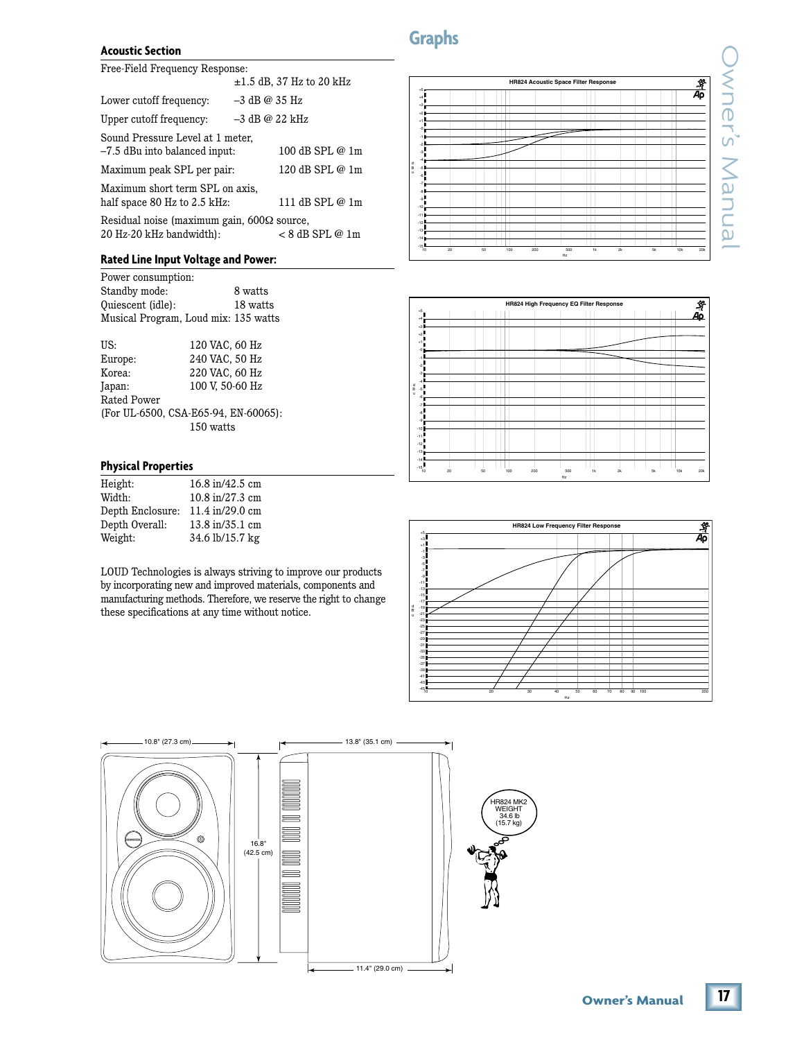# **Graphs**

#### **Acoustic Section**

Free-Field Frequency Response:

|                                                                               | $\pm 1.5$ dB, 37 Hz to 20 kHz |
|-------------------------------------------------------------------------------|-------------------------------|
| Lower cutoff frequency:                                                       | $-3$ dB @ 35 Hz               |
| Upper cutoff frequency:                                                       | $-3$ dB @ 22 kHz              |
| Sound Pressure Level at 1 meter,<br>-7.5 dBu into balanced input:             | 100 dB SPL @ 1m               |
| Maximum peak SPL per pair:                                                    | 120 dB SPL @ 1m               |
| Maximum short term SPL on axis,<br>half space 80 Hz to 2.5 kHz:               | 111 dB SPL @ 1m               |
| Residual noise (maximum gain, $600\Omega$ source,<br>20 Hz-20 kHz bandwidth): | < 8 dB SPL @ 1m               |

### **Rated Line Input Voltage and Power:**

| Power consumption:                   |
|--------------------------------------|
| 8 watts                              |
| 18 watts                             |
| Musical Program, Loud mix: 135 watts |
|                                      |
| 120 VAC, 60 Hz                       |
| 240 VAC, 50 Hz                       |
| 220 VAC, 60 Hz                       |
| 100 V. 50-60 Hz                      |
|                                      |
|                                      |

| (For UL-6500, CSA-E65-94, EN-60065): |  |
|--------------------------------------|--|
| 150 watts                            |  |
|                                      |  |

### **Physical Properties**

| Height:          | 16.8 in/42.5 cm |
|------------------|-----------------|
| Width:           | 10.8 in/27.3 cm |
| Depth Enclosure: | 11.4 in/29.0 cm |
| Depth Overall:   | 13.8 in/35.1 cm |
| Weight:          | 34.6 lb/15.7 kg |
|                  |                 |

LOUD Technologies is always striving to improve our products by incorporating new and improved materials, components and manufacturing methods. Therefore, we reserve the right to change these specifications at any time without notice.

a®<br>Ap **HR824 Acoustic Space Filter Response** +5 +4 T  $\top$ +3 ┯ ┯ +2 <u>HII</u>  $\mathbf{H}$ +1 -0 I  $\overline{\phantom{a}}$ HHH -1 -2 10 20 50 100 200 500 1k 2k 5k 10k 20k -3 -4 TH d B -5 u Ħ -6 -7 -8 arti -10 -11 -12 -13 <u>Filip</u> -14 -15

Hz

| HR824 High Frequency EQ Filter Response<br>$\,^{+5}{\sf E}$ |    |  |    |  |  |  |     |  |     |  |  |     |  | Ŷ       |    |    |           |  |  |     |     |
|-------------------------------------------------------------|----|--|----|--|--|--|-----|--|-----|--|--|-----|--|---------|----|----|-----------|--|--|-----|-----|
|                                                             |    |  |    |  |  |  |     |  |     |  |  |     |  |         |    |    |           |  |  |     | Aρ  |
| ⋾                                                           |    |  |    |  |  |  |     |  |     |  |  |     |  |         |    |    |           |  |  |     |     |
|                                                             |    |  |    |  |  |  |     |  |     |  |  |     |  |         |    |    |           |  |  |     |     |
| Ξ                                                           |    |  |    |  |  |  |     |  |     |  |  |     |  |         |    |    |           |  |  |     |     |
| $-0^{\frac{1}{2}}$                                          |    |  |    |  |  |  |     |  |     |  |  |     |  | --<br>− |    |    |           |  |  |     |     |
| -15                                                         |    |  |    |  |  |  |     |  |     |  |  |     |  |         |    |    |           |  |  |     |     |
|                                                             |    |  |    |  |  |  |     |  |     |  |  |     |  |         |    |    |           |  |  |     |     |
| <b>THE PERSON NAMED IN</b>                                  |    |  |    |  |  |  |     |  |     |  |  |     |  |         |    |    |           |  |  |     |     |
|                                                             |    |  |    |  |  |  |     |  |     |  |  |     |  |         |    |    |           |  |  |     |     |
| E                                                           |    |  |    |  |  |  |     |  |     |  |  |     |  |         |    |    |           |  |  |     |     |
| .,≸                                                         |    |  |    |  |  |  |     |  |     |  |  |     |  |         |    |    |           |  |  |     |     |
|                                                             |    |  |    |  |  |  |     |  |     |  |  |     |  |         |    |    |           |  |  |     |     |
| Ξ<br>▖                                                      |    |  |    |  |  |  |     |  |     |  |  |     |  |         |    |    |           |  |  |     |     |
|                                                             |    |  |    |  |  |  |     |  |     |  |  |     |  |         |    |    |           |  |  |     |     |
|                                                             |    |  |    |  |  |  |     |  |     |  |  |     |  |         |    |    |           |  |  |     |     |
| $-12$                                                       |    |  |    |  |  |  |     |  |     |  |  |     |  |         |    |    |           |  |  |     |     |
|                                                             |    |  |    |  |  |  |     |  |     |  |  |     |  |         |    |    |           |  |  |     |     |
| $-14$                                                       |    |  |    |  |  |  |     |  |     |  |  |     |  |         |    |    |           |  |  |     |     |
| $-15\frac{1}{10}$                                           | 20 |  | 50 |  |  |  | 100 |  | 200 |  |  | 500 |  |         | 1k | 2k | <b>5k</b> |  |  | 10k | 20k |



HR824 MK2 WEIGHT 34.6 lb (15.7 kg)



 $17<sup>17</sup>$